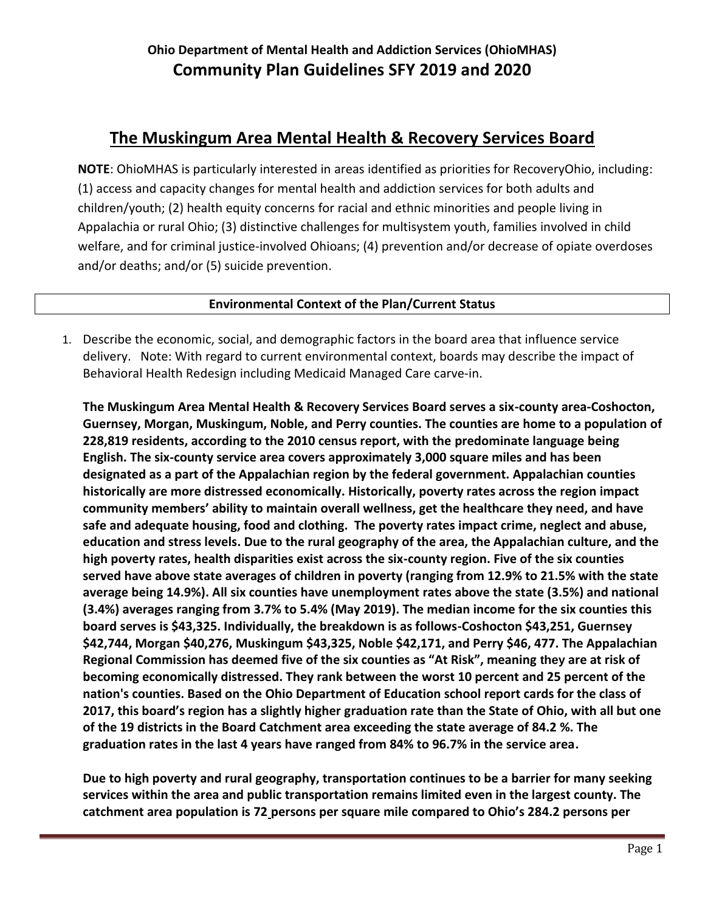## **The Muskingum Area Mental Health & Recovery Services Board**

**NOTE**: OhioMHAS is particularly interested in areas identified as priorities for RecoveryOhio, including: (1) access and capacity changes for mental health and addiction services for both adults and children/youth; (2) health equity concerns for racial and ethnic minorities and people living in Appalachia or rural Ohio; (3) distinctive challenges for multisystem youth, families involved in child welfare, and for criminal justice-involved Ohioans; (4) prevention and/or decrease of opiate overdoses and/or deaths; and/or (5) suicide prevention.

## **Environmental Context of the Plan/Current Status**

1. Describe the economic, social, and demographic factors in the board area that influence service delivery. Note: With regard to current environmental context, boards may describe the impact of Behavioral Health Redesign including Medicaid Managed Care carve-in.

**The Muskingum Area Mental Health & Recovery Services Board serves a six-county area-Coshocton, Guernsey, Morgan, Muskingum, Noble, and Perry counties. The counties are home to a population of 228,819 residents, according to the 2010 census report, with the predominate language being English. The six-county service area covers approximately 3,000 square miles and has been designated as a part of the Appalachian region by the federal government. Appalachian counties historically are more distressed economically. Historically, poverty rates across the region impact community members' ability to maintain overall wellness, get the healthcare they need, and have safe and adequate housing, food and clothing. The poverty rates impact crime, neglect and abuse, education and stress levels. Due to the rural geography of the area, the Appalachian culture, and the high poverty rates, health disparities exist across the six-county region. Five of the six counties served have above state averages of children in poverty (ranging from 12.9% to 21.5% with the state average being 14.9%). All six counties have unemployment rates above the state (3.5%) and national (3.4%) averages ranging from 3.7% to 5.4% (May 2019). The median income for the six counties this board serves is \$43,325. Individually, the breakdown is as follows-Coshocton \$43,251, Guernsey \$42,744, Morgan \$40,276, Muskingum \$43,325, Noble \$42,171, and Perry \$46, 477. The Appalachian Regional Commission has deemed five of the six counties as "At Risk", meaning they are at risk of becoming economically distressed. They rank between the worst 10 percent and 25 percent of the nation's counties. Based on the Ohio Department of Education school report cards for the class of 2017, this board's region has a slightly higher graduation rate than the State of Ohio, with all but one of the 19 districts in the Board Catchment area exceeding the state average of 84.2 %. The graduation rates in the last 4 years have ranged from 84% to 96.7% in the service area.**

**Due to high poverty and rural geography, transportation continues to be a barrier for many seeking services within the area and public transportation remains limited even in the largest county. The catchment area population is 72 persons per square mile compared to Ohio's 284.2 persons per**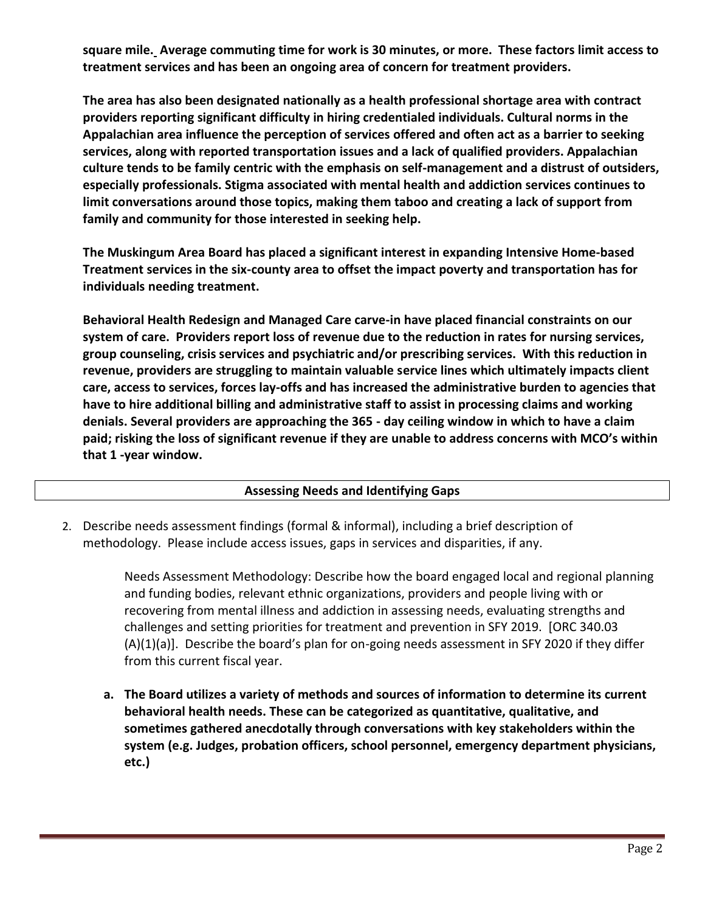**square mile. Average commuting time for work is 30 minutes, or more. These factors limit access to treatment services and has been an ongoing area of concern for treatment providers.** 

**The area has also been designated nationally as a health professional shortage area with contract providers reporting significant difficulty in hiring credentialed individuals. Cultural norms in the Appalachian area influence the perception of services offered and often act as a barrier to seeking services, along with reported transportation issues and a lack of qualified providers. Appalachian culture tends to be family centric with the emphasis on self-management and a distrust of outsiders, especially professionals. Stigma associated with mental health and addiction services continues to limit conversations around those topics, making them taboo and creating a lack of support from family and community for those interested in seeking help.**

**The Muskingum Area Board has placed a significant interest in expanding Intensive Home-based Treatment services in the six-county area to offset the impact poverty and transportation has for individuals needing treatment.** 

**Behavioral Health Redesign and Managed Care carve-in have placed financial constraints on our system of care. Providers report loss of revenue due to the reduction in rates for nursing services, group counseling, crisis services and psychiatric and/or prescribing services. With this reduction in revenue, providers are struggling to maintain valuable service lines which ultimately impacts client care, access to services, forces lay-offs and has increased the administrative burden to agencies that have to hire additional billing and administrative staff to assist in processing claims and working denials. Several providers are approaching the 365 - day ceiling window in which to have a claim paid; risking the loss of significant revenue if they are unable to address concerns with MCO's within that 1 -year window.** 

### **Assessing Needs and Identifying Gaps**

2. Describe needs assessment findings (formal & informal), including a brief description of methodology. Please include access issues, gaps in services and disparities, if any.

> Needs Assessment Methodology: Describe how the board engaged local and regional planning and funding bodies, relevant ethnic organizations, providers and people living with or recovering from mental illness and addiction in assessing needs, evaluating strengths and challenges and setting priorities for treatment and prevention in SFY 2019. [ORC 340.03 (A)(1)(a)]. Describe the board's plan for on-going needs assessment in SFY 2020 if they differ from this current fiscal year.

**a. The Board utilizes a variety of methods and sources of information to determine its current behavioral health needs. These can be categorized as quantitative, qualitative, and sometimes gathered anecdotally through conversations with key stakeholders within the system (e.g. Judges, probation officers, school personnel, emergency department physicians, etc.)**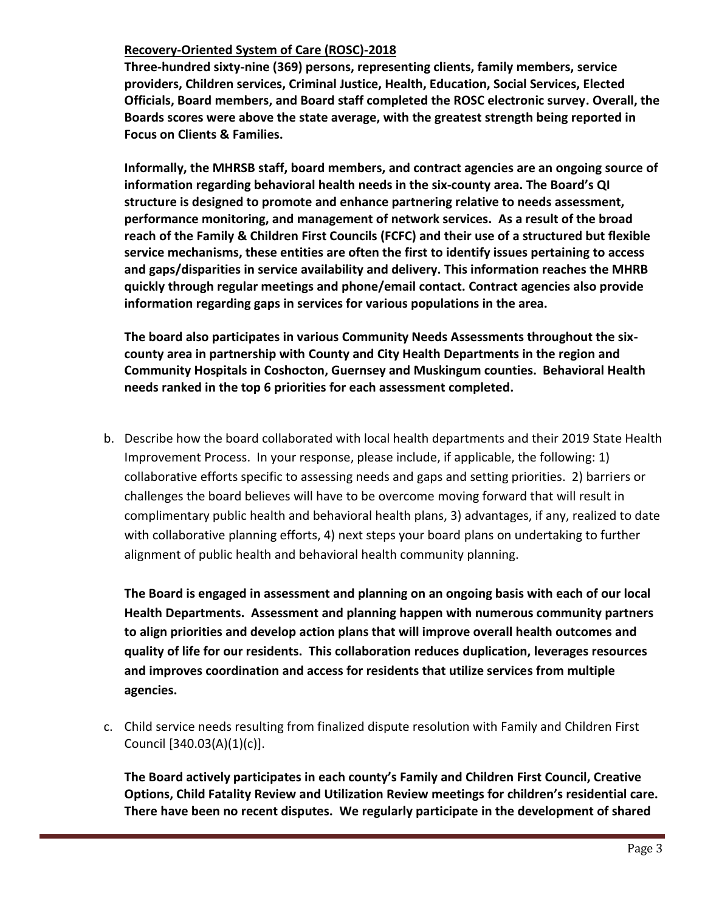## **Recovery-Oriented System of Care (ROSC)-2018**

**Three-hundred sixty-nine (369) persons, representing clients, family members, service providers, Children services, Criminal Justice, Health, Education, Social Services, Elected Officials, Board members, and Board staff completed the ROSC electronic survey. Overall, the Boards scores were above the state average, with the greatest strength being reported in Focus on Clients & Families.** 

**Informally, the MHRSB staff, board members, and contract agencies are an ongoing source of information regarding behavioral health needs in the six-county area. The Board's QI structure is designed to promote and enhance partnering relative to needs assessment, performance monitoring, and management of network services. As a result of the broad reach of the Family & Children First Councils (FCFC) and their use of a structured but flexible service mechanisms, these entities are often the first to identify issues pertaining to access and gaps/disparities in service availability and delivery. This information reaches the MHRB quickly through regular meetings and phone/email contact. Contract agencies also provide information regarding gaps in services for various populations in the area.** 

**The board also participates in various Community Needs Assessments throughout the sixcounty area in partnership with County and City Health Departments in the region and Community Hospitals in Coshocton, Guernsey and Muskingum counties. Behavioral Health needs ranked in the top 6 priorities for each assessment completed.**

b. Describe how the board collaborated with local health departments and their 2019 State Health Improvement Process. In your response, please include, if applicable, the following: 1) collaborative efforts specific to assessing needs and gaps and setting priorities. 2) barriers or challenges the board believes will have to be overcome moving forward that will result in complimentary public health and behavioral health plans, 3) advantages, if any, realized to date with collaborative planning efforts, 4) next steps your board plans on undertaking to further alignment of public health and behavioral health community planning.

**The Board is engaged in assessment and planning on an ongoing basis with each of our local Health Departments. Assessment and planning happen with numerous community partners to align priorities and develop action plans that will improve overall health outcomes and quality of life for our residents. This collaboration reduces duplication, leverages resources and improves coordination and access for residents that utilize services from multiple agencies.**

c. Child service needs resulting from finalized dispute resolution with Family and Children First Council [340.03(A)(1)(c)].

**The Board actively participates in each county's Family and Children First Council, Creative Options, Child Fatality Review and Utilization Review meetings for children's residential care. There have been no recent disputes. We regularly participate in the development of shared**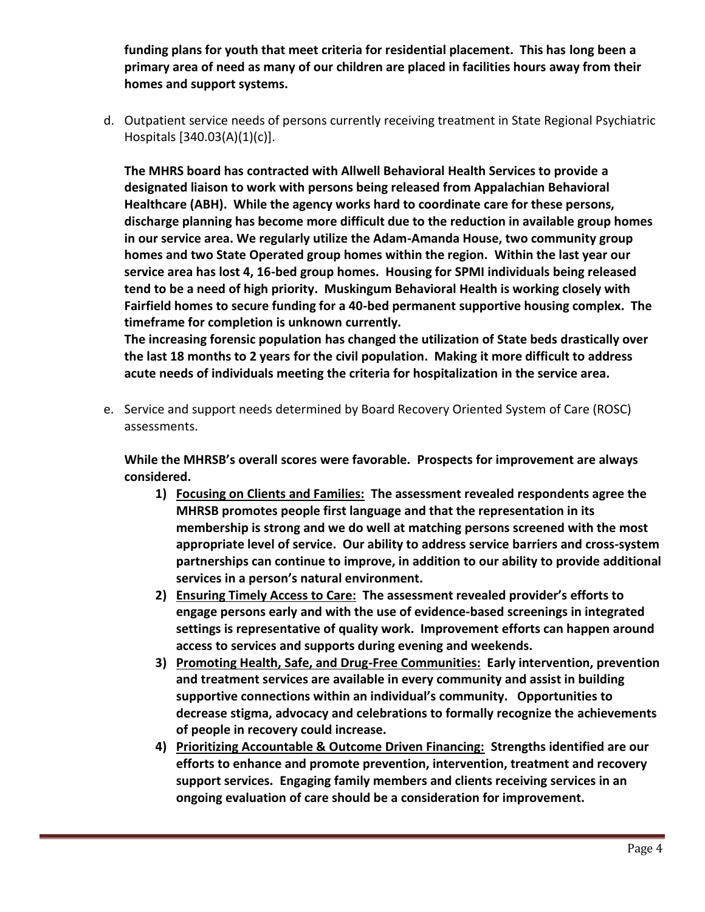**funding plans for youth that meet criteria for residential placement. This has long been a primary area of need as many of our children are placed in facilities hours away from their homes and support systems.**

d. Outpatient service needs of persons currently receiving treatment in State Regional Psychiatric Hospitals [340.03(A)(1)(c)].

**The MHRS board has contracted with Allwell Behavioral Health Services to provide a designated liaison to work with persons being released from Appalachian Behavioral Healthcare (ABH). While the agency works hard to coordinate care for these persons, discharge planning has become more difficult due to the reduction in available group homes in our service area. We regularly utilize the Adam-Amanda House, two community group homes and two State Operated group homes within the region. Within the last year our service area has lost 4, 16-bed group homes. Housing for SPMI individuals being released tend to be a need of high priority. Muskingum Behavioral Health is working closely with Fairfield homes to secure funding for a 40-bed permanent supportive housing complex. The timeframe for completion is unknown currently.**

**The increasing forensic population has changed the utilization of State beds drastically over the last 18 months to 2 years for the civil population. Making it more difficult to address acute needs of individuals meeting the criteria for hospitalization in the service area.**

e. Service and support needs determined by Board Recovery Oriented System of Care (ROSC) assessments.

**While the MHRSB's overall scores were favorable. Prospects for improvement are always considered.** 

- **1) Focusing on Clients and Families: The assessment revealed respondents agree the MHRSB promotes people first language and that the representation in its membership is strong and we do well at matching persons screened with the most appropriate level of service. Our ability to address service barriers and cross-system partnerships can continue to improve, in addition to our ability to provide additional services in a person's natural environment.**
- **2) Ensuring Timely Access to Care: The assessment revealed provider's efforts to engage persons early and with the use of evidence-based screenings in integrated settings is representative of quality work. Improvement efforts can happen around access to services and supports during evening and weekends.**
- **3) Promoting Health, Safe, and Drug-Free Communities: Early intervention, prevention and treatment services are available in every community and assist in building supportive connections within an individual's community. Opportunities to decrease stigma, advocacy and celebrations to formally recognize the achievements of people in recovery could increase.**
- **4) Prioritizing Accountable & Outcome Driven Financing: Strengths identified are our efforts to enhance and promote prevention, intervention, treatment and recovery support services. Engaging family members and clients receiving services in an ongoing evaluation of care should be a consideration for improvement.**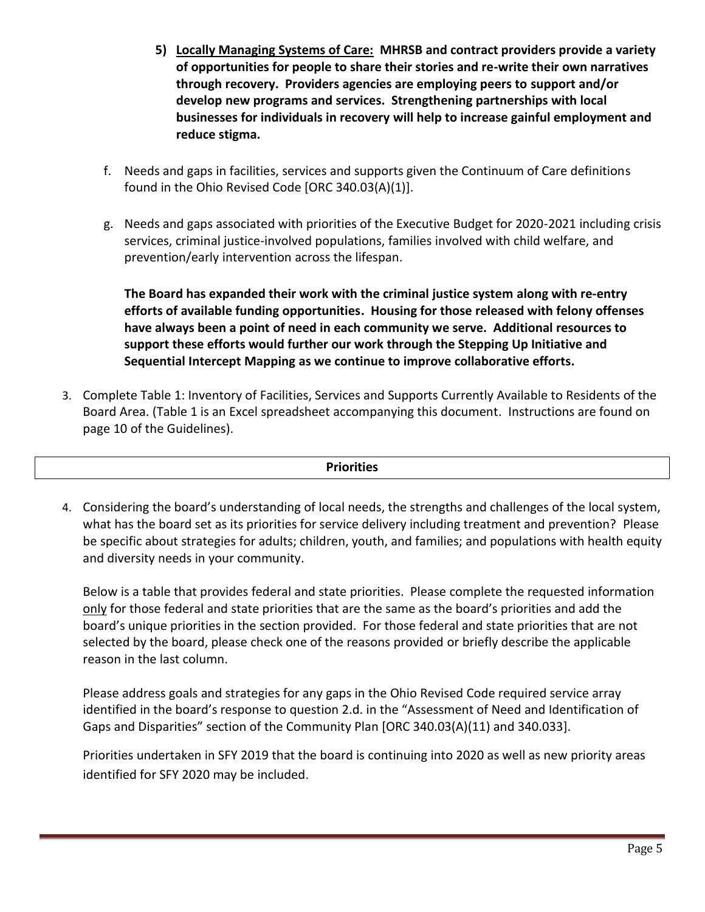- **5) Locally Managing Systems of Care: MHRSB and contract providers provide a variety of opportunities for people to share their stories and re-write their own narratives through recovery. Providers agencies are employing peers to support and/or develop new programs and services. Strengthening partnerships with local businesses for individuals in recovery will help to increase gainful employment and reduce stigma.**
- f. Needs and gaps in facilities, services and supports given the Continuum of Care definitions found in the Ohio Revised Code [ORC 340.03(A)(1)].
- g. Needs and gaps associated with priorities of the Executive Budget for 2020-2021 including crisis services, criminal justice-involved populations, families involved with child welfare, and prevention/early intervention across the lifespan.

**The Board has expanded their work with the criminal justice system along with re-entry efforts of available funding opportunities. Housing for those released with felony offenses have always been a point of need in each community we serve. Additional resources to support these efforts would further our work through the Stepping Up Initiative and Sequential Intercept Mapping as we continue to improve collaborative efforts.**

3. Complete Table 1: Inventory of Facilities, Services and Supports Currently Available to Residents of the Board Area. (Table 1 is an Excel spreadsheet accompanying this document. Instructions are found on page 10 of the Guidelines).

### **Priorities**

4. Considering the board's understanding of local needs, the strengths and challenges of the local system, what has the board set as its priorities for service delivery including treatment and prevention? Please be specific about strategies for adults; children, youth, and families; and populations with health equity and diversity needs in your community.

Below is a table that provides federal and state priorities. Please complete the requested information only for those federal and state priorities that are the same as the board's priorities and add the board's unique priorities in the section provided. For those federal and state priorities that are not selected by the board, please check one of the reasons provided or briefly describe the applicable reason in the last column.

Please address goals and strategies for any gaps in the Ohio Revised Code required service array identified in the board's response to question 2.d. in the "Assessment of Need and Identification of Gaps and Disparities" section of the Community Plan [ORC 340.03(A)(11) and 340.033].

Priorities undertaken in SFY 2019 that the board is continuing into 2020 as well as new priority areas identified for SFY 2020 may be included.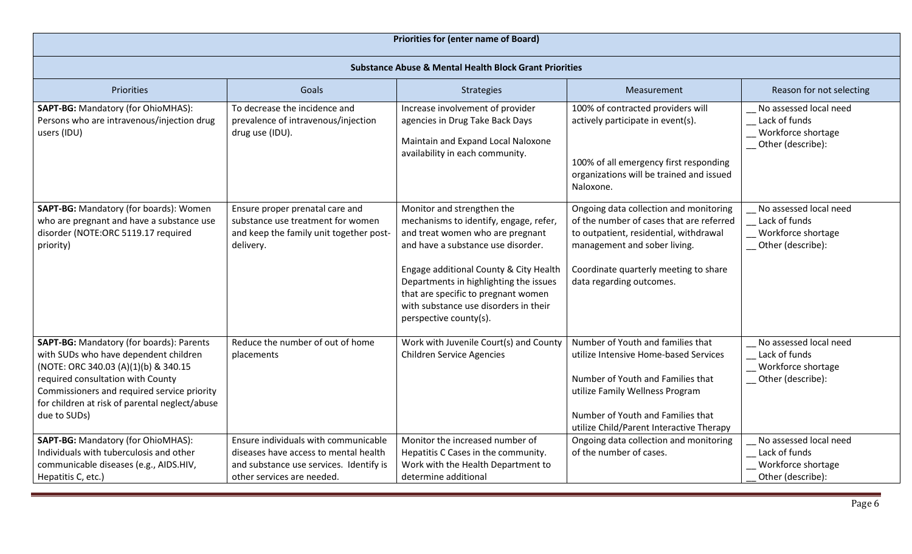| <b>Priorities for (enter name of Board)</b>                                                                                                                                                                                                                                            |                                                                                                                                                        |                                                                                                                                                                                                                                                                                                                                              |                                                                                                                                                                                                                                     |                                                                                    |  |
|----------------------------------------------------------------------------------------------------------------------------------------------------------------------------------------------------------------------------------------------------------------------------------------|--------------------------------------------------------------------------------------------------------------------------------------------------------|----------------------------------------------------------------------------------------------------------------------------------------------------------------------------------------------------------------------------------------------------------------------------------------------------------------------------------------------|-------------------------------------------------------------------------------------------------------------------------------------------------------------------------------------------------------------------------------------|------------------------------------------------------------------------------------|--|
| <b>Substance Abuse &amp; Mental Health Block Grant Priorities</b>                                                                                                                                                                                                                      |                                                                                                                                                        |                                                                                                                                                                                                                                                                                                                                              |                                                                                                                                                                                                                                     |                                                                                    |  |
| Priorities                                                                                                                                                                                                                                                                             | Goals                                                                                                                                                  | Strategies                                                                                                                                                                                                                                                                                                                                   | Measurement                                                                                                                                                                                                                         | Reason for not selecting                                                           |  |
| SAPT-BG: Mandatory (for OhioMHAS):<br>Persons who are intravenous/injection drug<br>users (IDU)                                                                                                                                                                                        | To decrease the incidence and<br>prevalence of intravenous/injection<br>drug use (IDU).                                                                | Increase involvement of provider<br>agencies in Drug Take Back Days<br>Maintain and Expand Local Naloxone<br>availability in each community.                                                                                                                                                                                                 | 100% of contracted providers will<br>actively participate in event(s).<br>100% of all emergency first responding<br>organizations will be trained and issued<br>Naloxone.                                                           | No assessed local need<br>Lack of funds<br>Workforce shortage<br>Other (describe): |  |
| SAPT-BG: Mandatory (for boards): Women<br>who are pregnant and have a substance use<br>disorder (NOTE:ORC 5119.17 required<br>priority)                                                                                                                                                | Ensure proper prenatal care and<br>substance use treatment for women<br>and keep the family unit together post-<br>delivery.                           | Monitor and strengthen the<br>mechanisms to identify, engage, refer,<br>and treat women who are pregnant<br>and have a substance use disorder.<br>Engage additional County & City Health<br>Departments in highlighting the issues<br>that are specific to pregnant women<br>with substance use disorders in their<br>perspective county(s). | Ongoing data collection and monitoring<br>of the number of cases that are referred<br>to outpatient, residential, withdrawal<br>management and sober living.<br>Coordinate quarterly meeting to share<br>data regarding outcomes.   | No assessed local need<br>Lack of funds<br>Workforce shortage<br>Other (describe): |  |
| <b>SAPT-BG: Mandatory (for boards): Parents</b><br>with SUDs who have dependent children<br>(NOTE: ORC 340.03 (A)(1)(b) & 340.15<br>required consultation with County<br>Commissioners and required service priority<br>for children at risk of parental neglect/abuse<br>due to SUDs) | Reduce the number of out of home<br>placements                                                                                                         | Work with Juvenile Court(s) and County<br><b>Children Service Agencies</b>                                                                                                                                                                                                                                                                   | Number of Youth and families that<br>utilize Intensive Home-based Services<br>Number of Youth and Families that<br>utilize Family Wellness Program<br>Number of Youth and Families that<br>utilize Child/Parent Interactive Therapy | No assessed local need<br>Lack of funds<br>Workforce shortage<br>Other (describe): |  |
| <b>SAPT-BG: Mandatory (for OhioMHAS):</b><br>Individuals with tuberculosis and other<br>communicable diseases (e.g., AIDS.HIV,<br>Hepatitis C, etc.)                                                                                                                                   | Ensure individuals with communicable<br>diseases have access to mental health<br>and substance use services. Identify is<br>other services are needed. | Monitor the increased number of<br>Hepatitis C Cases in the community.<br>Work with the Health Department to<br>determine additional                                                                                                                                                                                                         | Ongoing data collection and monitoring<br>of the number of cases.                                                                                                                                                                   | No assessed local need<br>Lack of funds<br>Workforce shortage<br>Other (describe): |  |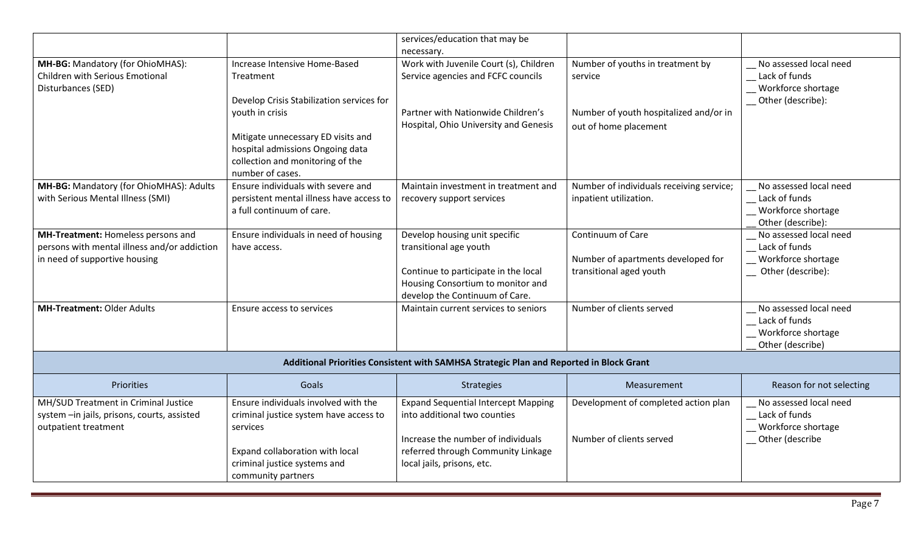|                                                                                                                     |                                                                                                                                                                                                                                              | services/education that may be<br>necessary.                                                                                                                                         |                                                                                                                |                                                                                    |
|---------------------------------------------------------------------------------------------------------------------|----------------------------------------------------------------------------------------------------------------------------------------------------------------------------------------------------------------------------------------------|--------------------------------------------------------------------------------------------------------------------------------------------------------------------------------------|----------------------------------------------------------------------------------------------------------------|------------------------------------------------------------------------------------|
| MH-BG: Mandatory (for OhioMHAS):<br>Children with Serious Emotional<br>Disturbances (SED)                           | Increase Intensive Home-Based<br>Treatment<br>Develop Crisis Stabilization services for<br>youth in crisis<br>Mitigate unnecessary ED visits and<br>hospital admissions Ongoing data<br>collection and monitoring of the<br>number of cases. | Work with Juvenile Court (s), Children<br>Service agencies and FCFC councils<br>Partner with Nationwide Children's<br>Hospital, Ohio University and Genesis                          | Number of youths in treatment by<br>service<br>Number of youth hospitalized and/or in<br>out of home placement | No assessed local need<br>Lack of funds<br>Workforce shortage<br>Other (describe): |
| MH-BG: Mandatory (for OhioMHAS): Adults<br>with Serious Mental Illness (SMI)                                        | Ensure individuals with severe and<br>persistent mental illness have access to<br>a full continuum of care.                                                                                                                                  | Maintain investment in treatment and<br>recovery support services                                                                                                                    | Number of individuals receiving service;<br>inpatient utilization.                                             | No assessed local need<br>Lack of funds<br>Workforce shortage<br>Other (describe): |
| MH-Treatment: Homeless persons and<br>persons with mental illness and/or addiction<br>in need of supportive housing | Ensure individuals in need of housing<br>have access.                                                                                                                                                                                        | Develop housing unit specific<br>transitional age youth<br>Continue to participate in the local<br>Housing Consortium to monitor and<br>develop the Continuum of Care.               | Continuum of Care<br>Number of apartments developed for<br>transitional aged youth                             | No assessed local need<br>Lack of funds<br>Workforce shortage<br>Other (describe): |
| <b>MH-Treatment: Older Adults</b>                                                                                   | Ensure access to services                                                                                                                                                                                                                    | Maintain current services to seniors                                                                                                                                                 | Number of clients served                                                                                       | No assessed local need<br>Lack of funds<br>Workforce shortage<br>Other (describe)  |
| Additional Priorities Consistent with SAMHSA Strategic Plan and Reported in Block Grant                             |                                                                                                                                                                                                                                              |                                                                                                                                                                                      |                                                                                                                |                                                                                    |
| <b>Priorities</b>                                                                                                   | Goals                                                                                                                                                                                                                                        | Strategies                                                                                                                                                                           | Measurement                                                                                                    | Reason for not selecting                                                           |
| MH/SUD Treatment in Criminal Justice<br>system -in jails, prisons, courts, assisted<br>outpatient treatment         | Ensure individuals involved with the<br>criminal justice system have access to<br>services<br>Expand collaboration with local<br>criminal justice systems and<br>community partners                                                          | <b>Expand Sequential Intercept Mapping</b><br>into additional two counties<br>Increase the number of individuals<br>referred through Community Linkage<br>local jails, prisons, etc. | Development of completed action plan<br>Number of clients served                                               | No assessed local need<br>Lack of funds<br>Workforce shortage<br>Other (describe   |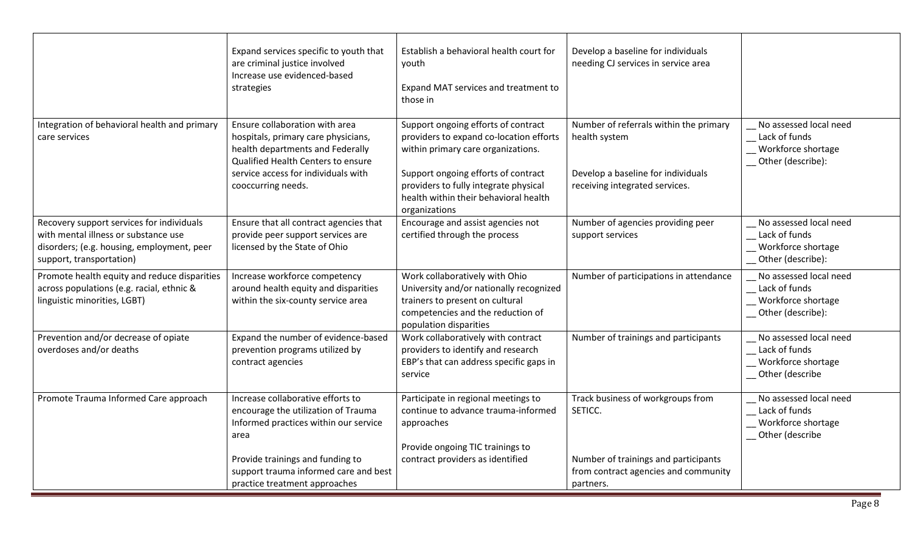| Expand services specific to youth that<br>are criminal justice involved<br>Increase use evidenced-based<br>strategies                                                                                        | Establish a behavioral health court for<br>youth<br>Expand MAT services and treatment to<br>those in                                                                                                                                                           | Develop a baseline for individuals<br>needing CJ services in service area                                                       |                                                                                    |
|--------------------------------------------------------------------------------------------------------------------------------------------------------------------------------------------------------------|----------------------------------------------------------------------------------------------------------------------------------------------------------------------------------------------------------------------------------------------------------------|---------------------------------------------------------------------------------------------------------------------------------|------------------------------------------------------------------------------------|
| Ensure collaboration with area<br>hospitals, primary care physicians,<br>health departments and Federally<br>Qualified Health Centers to ensure<br>service access for individuals with<br>cooccurring needs. | Support ongoing efforts of contract<br>providers to expand co-location efforts<br>within primary care organizations.<br>Support ongoing efforts of contract<br>providers to fully integrate physical<br>health within their behavioral health<br>organizations | Number of referrals within the primary<br>health system<br>Develop a baseline for individuals<br>receiving integrated services. | No assessed local need<br>Lack of funds<br>Workforce shortage<br>Other (describe): |
| Ensure that all contract agencies that<br>provide peer support services are<br>licensed by the State of Ohio                                                                                                 | Encourage and assist agencies not<br>certified through the process                                                                                                                                                                                             | Number of agencies providing peer<br>support services                                                                           | No assessed local need<br>Lack of funds<br>Workforce shortage<br>Other (describe): |
| Increase workforce competency<br>around health equity and disparities<br>within the six-county service area                                                                                                  | Work collaboratively with Ohio<br>University and/or nationally recognized<br>trainers to present on cultural<br>competencies and the reduction of<br>population disparities                                                                                    | Number of participations in attendance                                                                                          | No assessed local need<br>Lack of funds<br>Workforce shortage<br>Other (describe): |
| Expand the number of evidence-based<br>prevention programs utilized by<br>contract agencies                                                                                                                  | Work collaboratively with contract<br>providers to identify and research<br>EBP's that can address specific gaps in<br>service                                                                                                                                 | Number of trainings and participants                                                                                            | No assessed local need<br>Lack of funds<br>Workforce shortage<br>Other (describe   |
| Increase collaborative efforts to<br>encourage the utilization of Trauma<br>Informed practices within our service<br>area<br>Provide trainings and funding to<br>support trauma informed care and best       | Participate in regional meetings to<br>continue to advance trauma-informed<br>approaches<br>Provide ongoing TIC trainings to<br>contract providers as identified                                                                                               | Track business of workgroups from<br>SETICC.<br>Number of trainings and participants<br>from contract agencies and community    | No assessed local need<br>Lack of funds<br>Workforce shortage<br>Other (describe   |
|                                                                                                                                                                                                              | practice treatment approaches                                                                                                                                                                                                                                  |                                                                                                                                 | partners.                                                                          |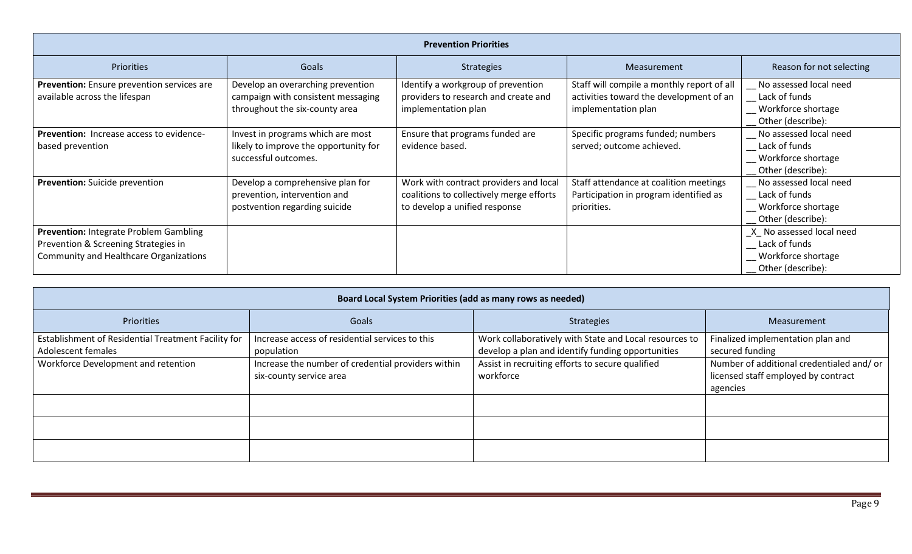| <b>Prevention Priorities</b>                                                                                                           |                                                                                                           |                                                                                                                     |                                                                                                              |                                                                                        |
|----------------------------------------------------------------------------------------------------------------------------------------|-----------------------------------------------------------------------------------------------------------|---------------------------------------------------------------------------------------------------------------------|--------------------------------------------------------------------------------------------------------------|----------------------------------------------------------------------------------------|
| Priorities                                                                                                                             | Goals                                                                                                     | <b>Strategies</b>                                                                                                   | Measurement                                                                                                  | Reason for not selecting                                                               |
| Prevention: Ensure prevention services are<br>available across the lifespan                                                            | Develop an overarching prevention<br>campaign with consistent messaging<br>throughout the six-county area | Identify a workgroup of prevention<br>providers to research and create and<br>implementation plan                   | Staff will compile a monthly report of all<br>activities toward the development of an<br>implementation plan | No assessed local need<br>Lack of funds<br>Workforce shortage<br>Other (describe):     |
| <b>Prevention:</b> Increase access to evidence-<br>based prevention                                                                    | Invest in programs which are most<br>likely to improve the opportunity for<br>successful outcomes.        | Ensure that programs funded are<br>evidence based.                                                                  | Specific programs funded; numbers<br>served; outcome achieved.                                               | No assessed local need<br>Lack of funds<br>Workforce shortage<br>Other (describe):     |
| Prevention: Suicide prevention                                                                                                         | Develop a comprehensive plan for<br>prevention, intervention and<br>postvention regarding suicide         | Work with contract providers and local<br>coalitions to collectively merge efforts<br>to develop a unified response | Staff attendance at coalition meetings<br>Participation in program identified as<br>priorities.              | No assessed local need<br>Lack of funds<br>Workforce shortage<br>Other (describe):     |
| <b>Prevention: Integrate Problem Gambling</b><br>Prevention & Screening Strategies in<br><b>Community and Healthcare Organizations</b> |                                                                                                           |                                                                                                                     |                                                                                                              | _X_ No assessed local need<br>Lack of funds<br>Workforce shortage<br>Other (describe): |

| Board Local System Priorities (add as many rows as needed)                |                                                                               |                                                                                                             |                                                                                             |  |
|---------------------------------------------------------------------------|-------------------------------------------------------------------------------|-------------------------------------------------------------------------------------------------------------|---------------------------------------------------------------------------------------------|--|
| <b>Priorities</b>                                                         | Goals                                                                         | Strategies                                                                                                  | Measurement                                                                                 |  |
| Establishment of Residential Treatment Facility for<br>Adolescent females | Increase access of residential services to this<br>population                 | Work collaboratively with State and Local resources to<br>develop a plan and identify funding opportunities | Finalized implementation plan and<br>secured funding                                        |  |
| Workforce Development and retention                                       | Increase the number of credential providers within<br>six-county service area | Assist in recruiting efforts to secure qualified<br>workforce                                               | Number of additional credentialed and/or<br>licensed staff employed by contract<br>agencies |  |
|                                                                           |                                                                               |                                                                                                             |                                                                                             |  |
|                                                                           |                                                                               |                                                                                                             |                                                                                             |  |
|                                                                           |                                                                               |                                                                                                             |                                                                                             |  |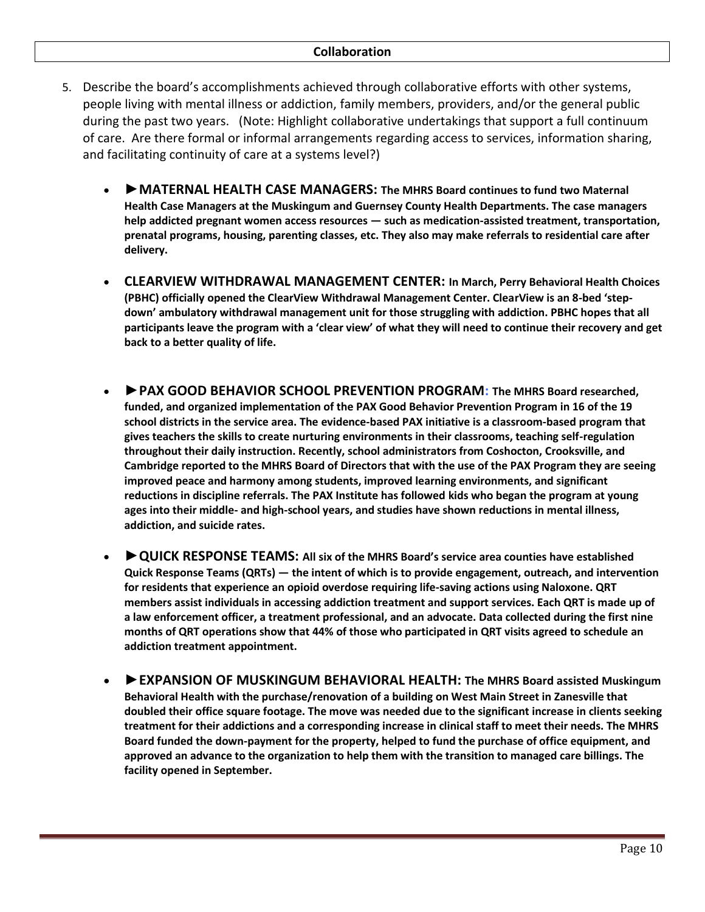- 5. Describe the board's accomplishments achieved through collaborative efforts with other systems, people living with mental illness or addiction, family members, providers, and/or the general public during the past two years. (Note: Highlight collaborative undertakings that support a full continuum of care. Are there formal or informal arrangements regarding access to services, information sharing, and facilitating continuity of care at a systems level?)
	- *►***MATERNAL HEALTH CASE MANAGERS: The MHRS Board continues to fund two Maternal Health Case Managers at the Muskingum and Guernsey County Health Departments. The case managers help addicted pregnant women access resources — such as medication-assisted treatment, transportation, prenatal programs, housing, parenting classes, etc. They also may make referrals to residential care after delivery.**
	- **CLEARVIEW WITHDRAWAL MANAGEMENT CENTER: In March, Perry Behavioral Health Choices (PBHC) officially opened the ClearView Withdrawal Management Center. ClearView is an 8-bed 'stepdown' ambulatory withdrawal management unit for those struggling with addiction. PBHC hopes that all participants leave the program with a 'clear view' of what they will need to continue their recovery and get back to a better quality of life.**
	- **►PAX GOOD BEHAVIOR SCHOOL PREVENTION PROGRAM: The MHRS Board researched, funded, and organized implementation of the PAX Good Behavior Prevention Program in 16 of the 19 school districts in the service area. The evidence-based PAX initiative is a classroom-based program that gives teachers the skills to create nurturing environments in their classrooms, teaching self-regulation throughout their daily instruction. Recently, school administrators from Coshocton, Crooksville, and Cambridge reported to the MHRS Board of Directors that with the use of the PAX Program they are seeing improved peace and harmony among students, improved learning environments, and significant reductions in discipline referrals. The PAX Institute has followed kids who began the program at young ages into their middle- and high-school years, and studies have shown reductions in mental illness, addiction, and suicide rates.**
	- *►***QUICK RESPONSE TEAMS: All six of the MHRS Board's service area counties have established Quick Response Teams (QRTs) — the intent of which is to provide engagement, outreach, and intervention for residents that experience an opioid overdose requiring life-saving actions using Naloxone. QRT members assist individuals in accessing addiction treatment and support services. Each QRT is made up of a law enforcement officer, a treatment professional, and an advocate. Data collected during the first nine months of QRT operations show that 44% of those who participated in QRT visits agreed to schedule an addiction treatment appointment.**
	- *►***EXPANSION OF MUSKINGUM BEHAVIORAL HEALTH: The MHRS Board assisted Muskingum Behavioral Health with the purchase/renovation of a building on West Main Street in Zanesville that doubled their office square footage. The move was needed due to the significant increase in clients seeking treatment for their addictions and a corresponding increase in clinical staff to meet their needs. The MHRS Board funded the down-payment for the property, helped to fund the purchase of office equipment, and approved an advance to the organization to help them with the transition to managed care billings. The facility opened in September.**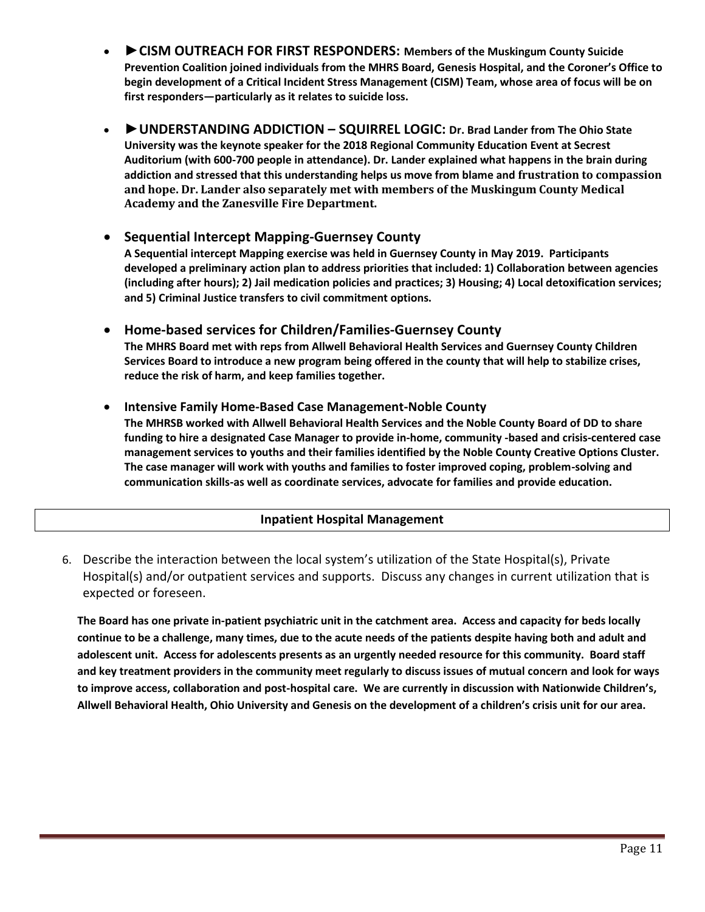- **►CISM OUTREACH FOR FIRST RESPONDERS: Members of the Muskingum County Suicide Prevention Coalition joined individuals from the MHRS Board, Genesis Hospital, and the Coroner's Office to begin development of a Critical Incident Stress Management (CISM) Team, whose area of focus will be on first responders—particularly as it relates to suicide loss.**
- *►***UNDERSTANDING ADDICTION – SQUIRREL LOGIC: Dr. Brad Lander from The Ohio State University was the keynote speaker for the 2018 Regional Community Education Event at Secrest Auditorium (with 600-700 people in attendance). Dr. Lander explained what happens in the brain during addiction and stressed that this understanding helps us move from blame and frustration to compassion and hope. Dr. Lander also separately met with members of the Muskingum County Medical Academy and the Zanesville Fire Department.**

### • **Sequential Intercept Mapping-Guernsey County**

**A Sequential intercept Mapping exercise was held in Guernsey County in May 2019. Participants developed a preliminary action plan to address priorities that included: 1) Collaboration between agencies (including after hours); 2) Jail medication policies and practices; 3) Housing; 4) Local detoxification services; and 5) Criminal Justice transfers to civil commitment options.**

• **Home-based services for Children/Families-Guernsey County**

**The MHRS Board met with reps from Allwell Behavioral Health Services and Guernsey County Children Services Board to introduce a new program being offered in the county that will help to stabilize crises, reduce the risk of harm, and keep families together.**

#### • **Intensive Family Home-Based Case Management-Noble County**

**The MHRSB worked with Allwell Behavioral Health Services and the Noble County Board of DD to share funding to hire a designated Case Manager to provide in-home, community -based and crisis-centered case management services to youths and their families identified by the Noble County Creative Options Cluster. The case manager will work with youths and families to foster improved coping, problem-solving and communication skills-as well as coordinate services, advocate for families and provide education.**

### **Inpatient Hospital Management**

6. Describe the interaction between the local system's utilization of the State Hospital(s), Private Hospital(s) and/or outpatient services and supports. Discuss any changes in current utilization that is expected or foreseen.

**The Board has one private in-patient psychiatric unit in the catchment area. Access and capacity for beds locally continue to be a challenge, many times, due to the acute needs of the patients despite having both and adult and adolescent unit. Access for adolescents presents as an urgently needed resource for this community. Board staff and key treatment providers in the community meet regularly to discuss issues of mutual concern and look for ways to improve access, collaboration and post-hospital care. We are currently in discussion with Nationwide Children's, Allwell Behavioral Health, Ohio University and Genesis on the development of a children's crisis unit for our area.**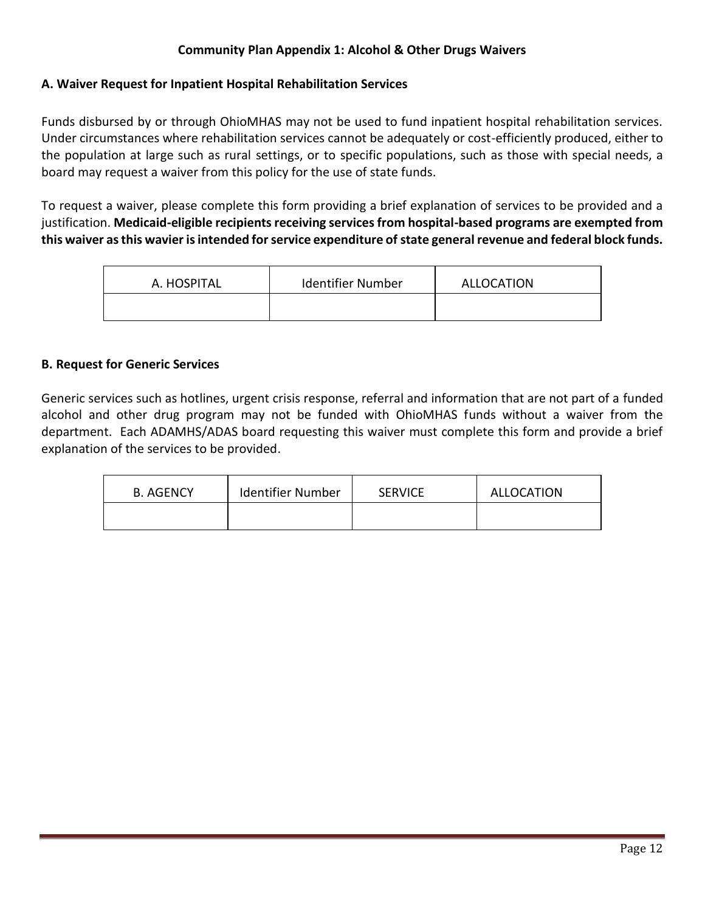### **Community Plan Appendix 1: Alcohol & Other Drugs Waivers**

### **A. Waiver Request for Inpatient Hospital Rehabilitation Services**

Funds disbursed by or through OhioMHAS may not be used to fund inpatient hospital rehabilitation services. Under circumstances where rehabilitation services cannot be adequately or cost-efficiently produced, either to the population at large such as rural settings, or to specific populations, such as those with special needs, a board may request a waiver from this policy for the use of state funds.

To request a waiver, please complete this form providing a brief explanation of services to be provided and a justification. **Medicaid-eligible recipients receiving services from hospital-based programs are exempted from this waiver as this wavier is intended for service expenditure of state general revenue and federal block funds.**

| A. HOSPITAL | <b>Identifier Number</b> | ALLOCATION |
|-------------|--------------------------|------------|
|             |                          |            |

#### **B. Request for Generic Services**

Generic services such as hotlines, urgent crisis response, referral and information that are not part of a funded alcohol and other drug program may not be funded with OhioMHAS funds without a waiver from the department. Each ADAMHS/ADAS board requesting this waiver must complete this form and provide a brief explanation of the services to be provided.

| B. AGENCY | <b>Identifier Number</b> | <b>SERVICE</b> | ALLOCATION |
|-----------|--------------------------|----------------|------------|
|           |                          |                |            |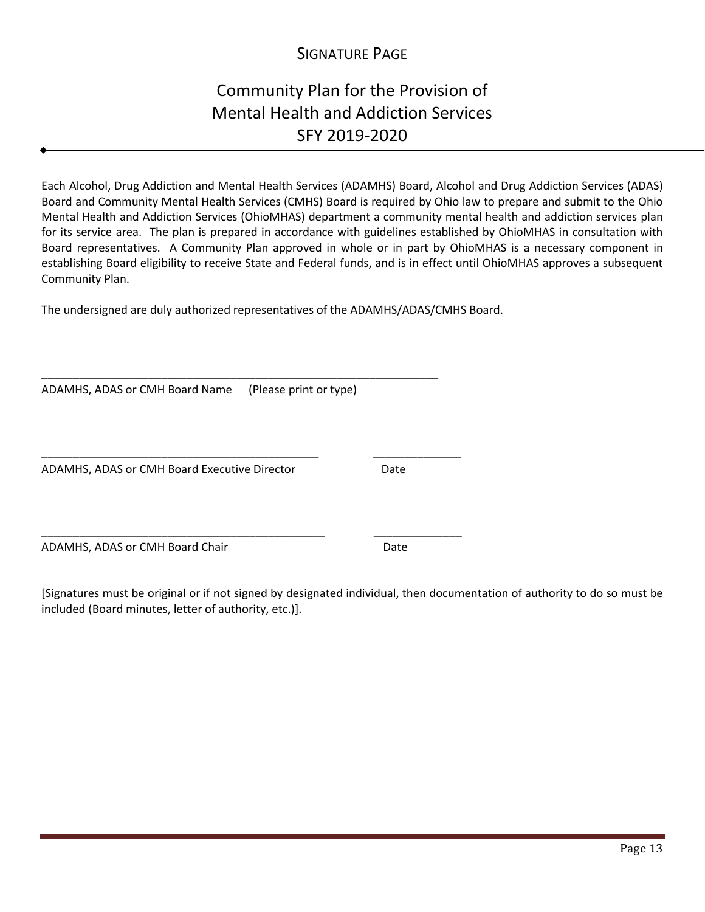## SIGNATURE PAGE

# Community Plan for the Provision of Mental Health and Addiction Services SFY 2019-2020

Each Alcohol, Drug Addiction and Mental Health Services (ADAMHS) Board, Alcohol and Drug Addiction Services (ADAS) Board and Community Mental Health Services (CMHS) Board is required by Ohio law to prepare and submit to the Ohio Mental Health and Addiction Services (OhioMHAS) department a community mental health and addiction services plan for its service area. The plan is prepared in accordance with guidelines established by OhioMHAS in consultation with Board representatives. A Community Plan approved in whole or in part by OhioMHAS is a necessary component in establishing Board eligibility to receive State and Federal funds, and is in effect until OhioMHAS approves a subsequent Community Plan.

The undersigned are duly authorized representatives of the ADAMHS/ADAS/CMHS Board.

ADAMHS, ADAS or CMH Board Name (Please print or type)

\_\_\_\_\_\_\_\_\_\_\_\_\_\_\_\_\_\_\_\_\_\_\_\_\_\_\_\_\_\_\_\_\_\_\_\_\_\_\_\_\_\_\_\_\_\_\_\_\_\_\_\_\_\_\_\_\_\_\_\_\_\_\_

\_\_\_\_\_\_\_\_\_\_\_\_\_\_\_\_\_\_\_\_\_\_\_\_\_\_\_\_\_\_\_\_\_\_\_\_\_\_\_\_\_\_\_\_ \_\_\_\_\_\_\_\_\_\_\_\_\_\_

ADAMHS, ADAS or CMH Board Executive Director Date

ADAMHS, ADAS or CMH Board Chair Date

[Signatures must be original or if not signed by designated individual, then documentation of authority to do so must be included (Board minutes, letter of authority, etc.)].

\_\_\_\_\_\_\_\_\_\_\_\_\_\_\_\_\_\_\_\_\_\_\_\_\_\_\_\_\_\_\_\_\_\_\_\_\_\_\_\_\_\_\_\_\_ \_\_\_\_\_\_\_\_\_\_\_\_\_\_